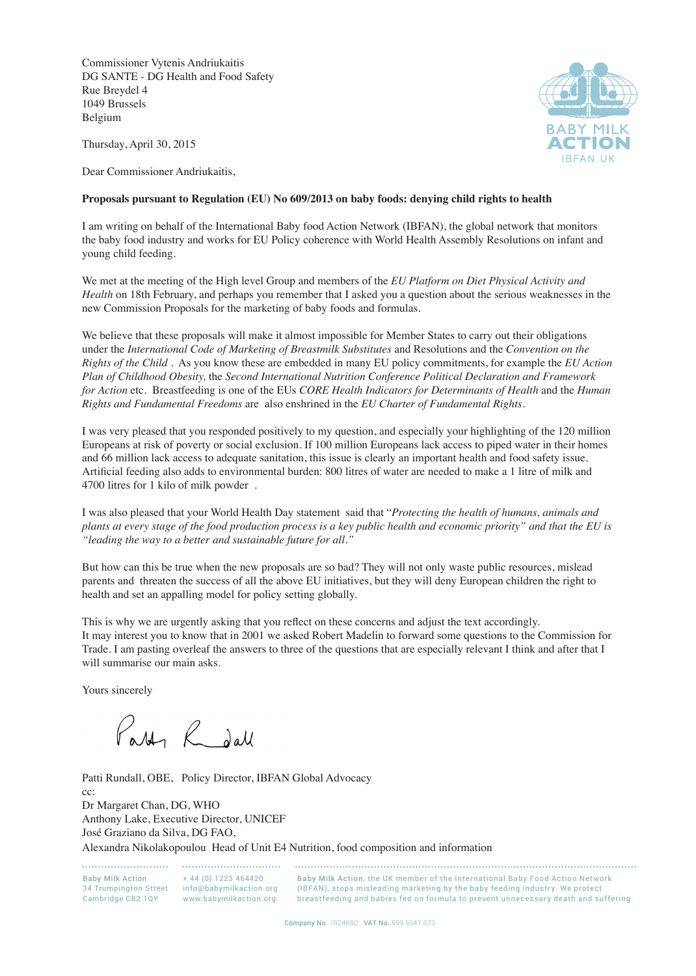Commissioner Vytenis Andriukaitis DG SANTE - DG Health and Food Safety Rue Breydel 4 1049 Brussels Belgium



Thursday, April 30, 2015

Dear Commissioner Andriukaitis,

## **Proposals pursuant to Regulation (EU) No 609/2013 on baby foods: denying child rights to health**

I am writing on behalf of the International Baby food Action Network (IBFAN), the global network that monitors the baby food industry and works for EU Policy coherence with World Health Assembly Resolutions on infant and young child feeding.

We met at the meeting of the High level Group and members of the *EU Platform on Diet Physical Activity and Health* on 18th February, and perhaps you remember that I asked you a question about the serious weaknesses in the new Commission Proposals for the marketing of baby foods and formulas.

We believe that these proposals will make it almost impossible for Member States to carry out their obligations under the *International Code of Marketing of Breastmilk Substitutes* and Resolutions and the *Convention on the Rights of the Child* . As you know these are embedded in many EU policy commitments, for example the *EU Action Plan of Childhood Obesity,* the *Second International Nutrition Conference Political Declaration and Framework for Action* etc. Breastfeeding is one of the EUs *CORE Health Indicators for Determinants of Health* and the *Human Rights and Fundamental Freedoms* are also enshrined in the *EU Charter of Fundamental Rights*.

I was very pleased that you responded positively to my question, and especially your highlighting of the 120 million Europeans at risk of poverty or social exclusion. If 100 million Europeans lack access to piped water in their homes and 66 million lack access to adequate sanitation, this issue is clearly an important health and food safety issue. Artificial feeding also adds to environmental burden: 800 litres of water are needed to make a 1 litre of milk and 4700 litres for 1 kilo of milk powder .

I was also pleased that your World Health Day statement said that "*Protecting the health of humans, animals and plants at every stage of the food production process is a key public health and economic priority" and that the EU is "leading the way to a better and sustainable future for all."*

But how can this be true when the new proposals are so bad? They will not only waste public resources, mislead parents and threaten the success of all the above EU initiatives, but they will deny European children the right to health and set an appalling model for policy setting globally.

This is why we are urgently asking that you reflect on these concerns and adjust the text accordingly. It may interest you to know that in 2001 we asked Robert Madelin to forward some questions to the Commission for Trade. I am pasting overleaf the answers to three of the questions that are especially relevant I think and after that I will summarise our main asks.

Yours sincerely

Party Redall

Patti Rundall, OBE, Policy Director, IBFAN Global Advocacy cc: Dr Margaret Chan, DG, WHO Anthony Lake, Executive Director, UNICEF José Graziano da Silva, DG FAO, Alexandra Nikolakopoulou Head of Unit E4 Nutrition, food composition and information

Baby Milk Action + 44 (0) 1223 464420 34 Trumpington Street info@babymilkaction.org Cambridge CB2 1QY www.babymilkaction.org

Baby Milk Action, the UK member of the International Baby Food Action Network (IBFAN), stops misleading marketing by the baby feeding industry. We protect breastfeeding and babies fed on formula to prevent unnecessary death and suffering.